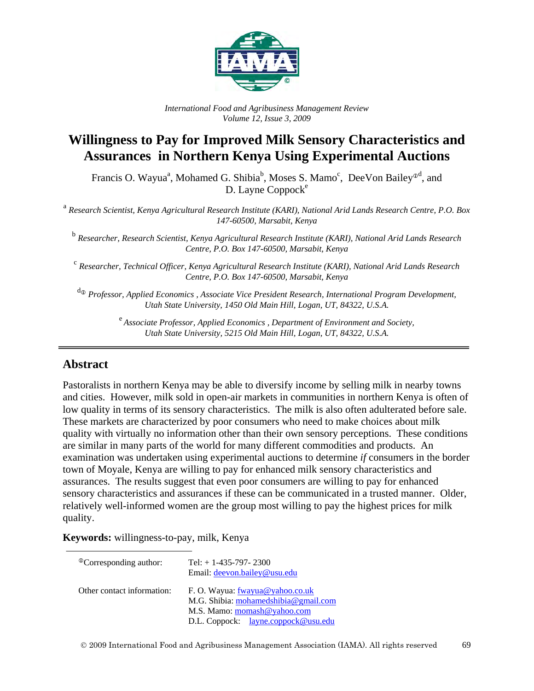

*International Food and Agribusiness Management Review Volume 12, Issue 3, 2009*

# **Willingness to Pay for Improved Milk Sensory Characteristics and Assurances in Northern Kenya Using Experimental Auctions**

Francis O. Wayua<sup>a</sup>, Mohamed G. Shibia<sup>b</sup>, Moses S. Mamo<sup>c</sup>, DeeVon Bailey<sup>®d</sup>, and  $D.$  Layne Coppock $e$ 

<sup>a</sup> *Research Scientist, Kenya Agricultural Research Institute (KARI), National Arid Lands Research Centre, P.O. Box 147-60500, Marsabit, Kenya*

<sup>b</sup> *Researcher, Research Scientist, Kenya Agricultural Research Institute (KARI), National Arid Lands Research Centre, P.O. Box 147-60500, Marsabit, Kenya*

<sup>c</sup> *Researcher, Technical Officer, Kenya Agricultural Research Institute (KARI), National Arid Lands Research Centre, P.O. Box 147-60500, Marsabit, Kenya*

<sup>d</sup> *Professor, Applied Economics , Associate Vice President Research, International Program Development, Utah State University, 1450 Old Main Hill, Logan, UT, 84322, U.S.A.*

> e *Associate Professor, Applied Economics , Department of Environment and Society, Utah State University, 5215 Old Main Hill, Logan, UT, 84322, U.S.A.*

### **Abstract**

Pastoralists in northern Kenya may be able to diversify income by selling milk in nearby towns and cities. However, milk sold in open-air markets in communities in northern Kenya is often of low quality in terms of its sensory characteristics. The milk is also often adulterated before sale. These markets are characterized by poor consumers who need to make choices about milk quality with virtually no information other than their own sensory perceptions. These conditions are similar in many parts of the world for many different commodities and products. An examination was undertaken using experimental auctions to determine *if* consumers in the border town of Moyale, Kenya are willing to pay for enhanced milk sensory characteristics and assurances. The results suggest that even poor consumers are willing to pay for enhanced sensory characteristics and assurances if these can be communicated in a trusted manner. Older, relatively well-informed women are the group most willing to pay the highest prices for milk quality.

**Keywords:** willingness-to-pay, milk, Kenya

| <sup>®</sup> Corresponding author: | Tel: $+ 1 - 435 - 797 - 2300$<br>Email: <u>deevon.bailey@usu.edu</u>           |  |  |
|------------------------------------|--------------------------------------------------------------------------------|--|--|
| Other contact information:         | F. O. Wayua: <u>fwayua@yahoo.co.uk</u><br>M.G. Shibia: mohamedshibia@gmail.com |  |  |
|                                    | M.S. Mamo: momash@yahoo.com                                                    |  |  |
|                                    | D.L. Coppock: <u>layne.coppock@usu.edu</u>                                     |  |  |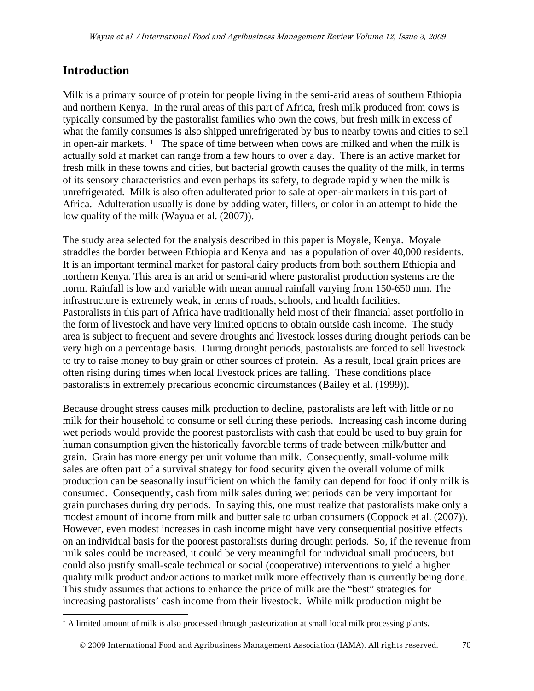### **Introduction**

 $\overline{a}$ 

Milk is a primary source of protein for people living in the semi-arid areas of southern Ethiopia and northern Kenya. In the rural areas of this part of Africa, fresh milk produced from cows is typically consumed by the pastoralist families who own the cows, but fresh milk in excess of what the family consumes is also shipped unrefrigerated by bus to nearby towns and cities to sell in open-air markets.  $1$  The space of time between when cows are milked and when the milk is actually sold at market can range from a few hours to over a day. There is an active market for fresh milk in these towns and cities, but bacterial growth causes the quality of the milk, in terms of its sensory characteristics and even perhaps its safety, to degrade rapidly when the milk is unrefrigerated. Milk is also often adulterated prior to sale at open-air markets in this part of Africa. Adulteration usually is done by adding water, fillers, or color in an attempt to hide the low quality of the milk (Wayua et al. (2007)).

The study area selected for the analysis described in this paper is Moyale, Kenya. Moyale straddles the border between Ethiopia and Kenya and has a population of over 40,000 residents. It is an important terminal market for pastoral dairy products from both southern Ethiopia and northern Kenya. This area is an arid or semi-arid where pastoralist production systems are the norm. Rainfall is low and variable with mean annual rainfall varying from 150-650 mm. The infrastructure is extremely weak, in terms of roads, schools, and health facilities. Pastoralists in this part of Africa have traditionally held most of their financial asset portfolio in the form of livestock and have very limited options to obtain outside cash income. The study area is subject to frequent and severe droughts and livestock losses during drought periods can be very high on a percentage basis. During drought periods, pastoralists are forced to sell livestock to try to raise money to buy grain or other sources of protein. As a result, local grain prices are often rising during times when local livestock prices are falling. These conditions place pastoralists in extremely precarious economic circumstances (Bailey et al. (1999)).

Because drought stress causes milk production to decline, pastoralists are left with little or no milk for their household to consume or sell during these periods. Increasing cash income during wet periods would provide the poorest pastoralists with cash that could be used to buy grain for human consumption given the historically favorable terms of trade between milk/butter and grain. Grain has more energy per unit volume than milk. Consequently, small-volume milk sales are often part of a survival strategy for food security given the overall volume of milk production can be seasonally insufficient on which the family can depend for food if only milk is consumed. Consequently, cash from milk sales during wet periods can be very important for grain purchases during dry periods. In saying this, one must realize that pastoralists make only a modest amount of income from milk and butter sale to urban consumers (Coppock et al. (2007)). However, even modest increases in cash income might have very consequential positive effects on an individual basis for the poorest pastoralists during drought periods. So, if the revenue from milk sales could be increased, it could be very meaningful for individual small producers, but could also justify small-scale technical or social (cooperative) interventions to yield a higher quality milk product and/or actions to market milk more effectively than is currently being done. This study assumes that actions to enhance the price of milk are the "best" strategies for increasing pastoralists' cash income from their livestock. While milk production might be

<span id="page-1-0"></span> $1$  A limited amount of milk is also processed through pasteurization at small local milk processing plants.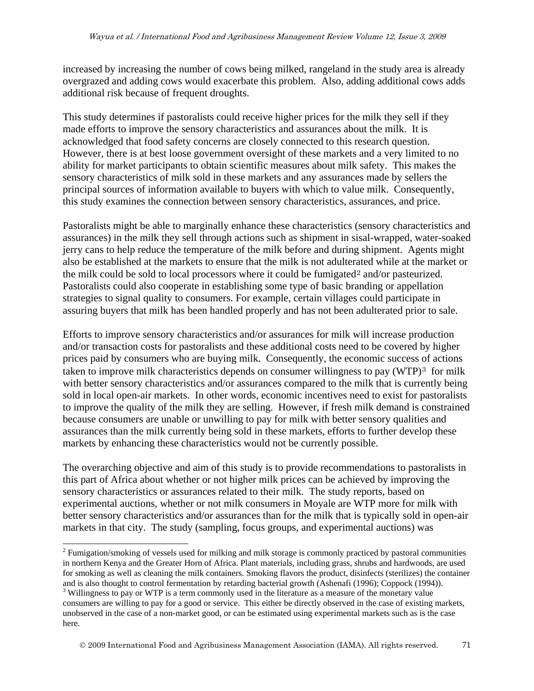increased by increasing the number of cows being milked, rangeland in the study area is already overgrazed and adding cows would exacerbate this problem. Also, adding additional cows adds additional risk because of frequent droughts.

This study determines if pastoralists could receive higher prices for the milk they sell if they made efforts to improve the sensory characteristics and assurances about the milk. It is acknowledged that food safety concerns are closely connected to this research question. However, there is at best loose government oversight of these markets and a very limited to no ability for market participants to obtain scientific measures about milk safety. This makes the sensory characteristics of milk sold in these markets and any assurances made by sellers the principal sources of information available to buyers with which to value milk. Consequently, this study examines the connection between sensory characteristics, assurances, and price.

Pastoralists might be able to marginally enhance these characteristics (sensory characteristics and assurances) in the milk they sell through actions such as shipment in sisal-wrapped, water-soaked jerry cans to help reduce the temperature of the milk before and during shipment. Agents might also be established at the markets to ensure that the milk is not adulterated while at the market or the milk could be sold to local processors where it could be fumigated<sup>[2](#page-2-0)</sup> and/or pasteurized. Pastoralists could also cooperate in establishing some type of basic branding or appellation strategies to signal quality to consumers. For example, certain villages could participate in assuring buyers that milk has been handled properly and has not been adulterated prior to sale.

Efforts to improve sensory characteristics and/or assurances for milk will increase production and/or transaction costs for pastoralists and these additional costs need to be covered by higher prices paid by consumers who are buying milk. Consequently, the economic success of actions taken to improve milk characteristics depends on consumer willingness to pay  $(WTP)^3$  $(WTP)^3$  for milk with better sensory characteristics and/or assurances compared to the milk that is currently being sold in local open-air markets. In other words, economic incentives need to exist for pastoralists to improve the quality of the milk they are selling. However, if fresh milk demand is constrained because consumers are unable or unwilling to pay for milk with better sensory qualities and assurances than the milk currently being sold in these markets, efforts to further develop these markets by enhancing these characteristics would not be currently possible.

The overarching objective and aim of this study is to provide recommendations to pastoralists in this part of Africa about whether or not higher milk prices can be achieved by improving the sensory characteristics or assurances related to their milk. The study reports, based on experimental auctions, whether or not milk consumers in Moyale are WTP more for milk with better sensory characteristics and/or assurances than for the milk that is typically sold in open-air markets in that city. The study (sampling, focus groups, and experimental auctions) was

 $\overline{a}$ 

<span id="page-2-0"></span><sup>&</sup>lt;sup>2</sup> Fumigation/smoking of vessels used for milking and milk storage is commonly practiced by pastoral communities in northern Kenya and the Greater Horn of Africa. Plant materials, including grass, shrubs and hardwoods, are used for smoking as well as cleaning the milk containers. Smoking flavors the product, disinfects (sterilizes) the container and is also thought to control fermentation by retarding bacterial growth (Ashenafi (1996); Coppock (1994)).  $3$  Willingness to pay or WTP is a term commonly used in the literature as a measure of the monetary value

<span id="page-2-1"></span>consumers are willing to pay for a good or service. This either be directly observed in the case of existing markets, unobserved in the case of a non-market good, or can be estimated using experimental markets such as is the case here.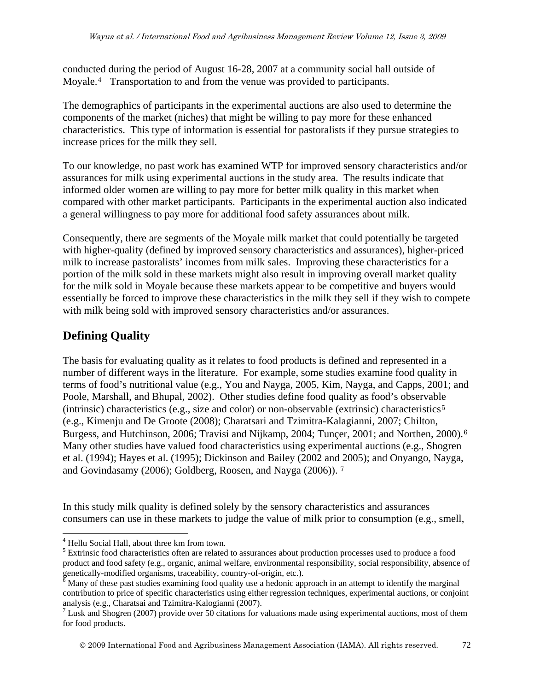conducted during the period of August 16-28, 2007 at a community social hall outside of Moyale.[4](#page-3-0) Transportation to and from the venue was provided to participants.

The demographics of participants in the experimental auctions are also used to determine the components of the market (niches) that might be willing to pay more for these enhanced characteristics. This type of information is essential for pastoralists if they pursue strategies to increase prices for the milk they sell.

To our knowledge, no past work has examined WTP for improved sensory characteristics and/or assurances for milk using experimental auctions in the study area. The results indicate that informed older women are willing to pay more for better milk quality in this market when compared with other market participants. Participants in the experimental auction also indicated a general willingness to pay more for additional food safety assurances about milk.

Consequently, there are segments of the Moyale milk market that could potentially be targeted with higher-quality (defined by improved sensory characteristics and assurances), higher-priced milk to increase pastoralists' incomes from milk sales. Improving these characteristics for a portion of the milk sold in these markets might also result in improving overall market quality for the milk sold in Moyale because these markets appear to be competitive and buyers would essentially be forced to improve these characteristics in the milk they sell if they wish to compete with milk being sold with improved sensory characteristics and/or assurances.

# **Defining Quality**

The basis for evaluating quality as it relates to food products is defined and represented in a number of different ways in the literature. For example, some studies examine food quality in terms of food's nutritional value (e.g., You and Nayga, 2005, Kim, Nayga, and Capps, 2001; and Poole, Marshall, and Bhupal, 2002). Other studies define food quality as food's observable (intrinsic) characteristics (e.g., size and color) or non-observable (extrinsic) characteristics<sup>[5](#page-3-1)</sup> (e.g., Kimenju and De Groote (2008); Charatsari and Tzimitra-Kalagianni, 2007; Chilton, Burgess, and Hutchinson, 200[6](#page-3-2); Travisi and Nijkamp, 2004; Tuncer, 2001; and Northen, 2000).<sup>6</sup> Many other studies have valued food characteristics using experimental auctions (e.g., Shogren et al. (1994); Hayes et al. (1995); Dickinson and Bailey (2002 and 2005); and Onyango, Nayga, and Govindasamy (2006); Goldberg, Roosen, and Nayga (2006)). [7](#page-3-3)

In this study milk quality is defined solely by the sensory characteristics and assurances consumers can use in these markets to judge the value of milk prior to consumption (e.g., smell,

2009 International Food and Agribusiness Management Association (IAMA). All rights reserved. 72

 $\overline{a}$ <sup>4</sup> Hellu Social Hall, about three km from town.

<span id="page-3-1"></span><span id="page-3-0"></span><sup>&</sup>lt;sup>5</sup> Extrinsic food characteristics often are related to assurances about production processes used to produce a food product and food safety (e.g., organic, animal welfare, environmental responsibility, social responsibility, absence of genetically-modified organisms, traceability, country-of-origin, etc.).

<span id="page-3-2"></span> $\frac{6}{6}$  Many of these past studies examining food quality use a hedonic approach in an attempt to identify the marginal contribution to price of specific characteristics using either regression techniques, experimental auctions, or conjoint analysis (e.g., Charatsai and Tzimitra-Kalogianni (2007).

<span id="page-3-3"></span><sup>&</sup>lt;sup>7</sup> Lusk and Shogren (2007) provide over 50 citations for valuations made using experimental auctions, most of them for food products.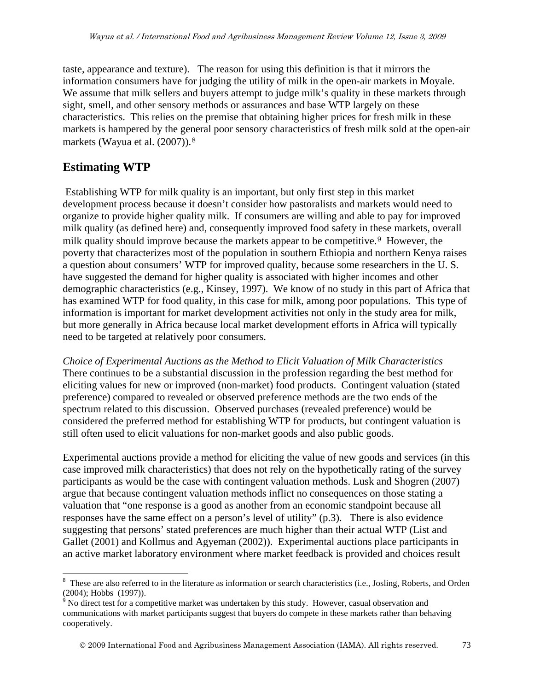taste, appearance and texture). The reason for using this definition is that it mirrors the information consumers have for judging the utility of milk in the open-air markets in Moyale. We assume that milk sellers and buyers attempt to judge milk's quality in these markets through sight, smell, and other sensory methods or assurances and base WTP largely on these characteristics. This relies on the premise that obtaining higher prices for fresh milk in these markets is hampered by the general poor sensory characteristics of fresh milk sold at the open-air markets (Wayua et al. (2007)).[8](#page-4-0)

# **Estimating WTP**

Establishing WTP for milk quality is an important, but only first step in this market development process because it doesn't consider how pastoralists and markets would need to organize to provide higher quality milk. If consumers are willing and able to pay for improved milk quality (as defined here) and, consequently improved food safety in these markets, overall milk quality should improve because the markets appear to be competitive.<sup>[9](#page-4-1)</sup> However, the poverty that characterizes most of the population in southern Ethiopia and northern Kenya raises a question about consumers' WTP for improved quality, because some researchers in the U. S. have suggested the demand for higher quality is associated with higher incomes and other demographic characteristics (e.g., Kinsey, 1997). We know of no study in this part of Africa that has examined WTP for food quality, in this case for milk, among poor populations. This type of information is important for market development activities not only in the study area for milk, but more generally in Africa because local market development efforts in Africa will typically need to be targeted at relatively poor consumers.

*Choice of Experimental Auctions as the Method to Elicit Valuation of Milk Characteristics* There continues to be a substantial discussion in the profession regarding the best method for eliciting values for new or improved (non-market) food products. Contingent valuation (stated preference) compared to revealed or observed preference methods are the two ends of the spectrum related to this discussion. Observed purchases (revealed preference) would be considered the preferred method for establishing WTP for products, but contingent valuation is still often used to elicit valuations for non-market goods and also public goods.

Experimental auctions provide a method for eliciting the value of new goods and services (in this case improved milk characteristics) that does not rely on the hypothetically rating of the survey participants as would be the case with contingent valuation methods. Lusk and Shogren (2007) argue that because contingent valuation methods inflict no consequences on those stating a valuation that "one response is a good as another from an economic standpoint because all responses have the same effect on a person's level of utility" (p.3). There is also evidence suggesting that persons' stated preferences are much higher than their actual WTP (List and Gallet (2001) and Kollmus and Agyeman (2002)). Experimental auctions place participants in an active market laboratory environment where market feedback is provided and choices result

<span id="page-4-0"></span> $\overline{a}$ <sup>8</sup> These are also referred to in the literature as information or search characteristics (i.e., Josling, Roberts, and Orden (2004); Hobbs (1997)).<br><sup>9</sup> No direct test for a competitive market was undertaken by this study. However, casual observation and

<span id="page-4-1"></span>communications with market participants suggest that buyers do compete in these markets rather than behaving cooperatively.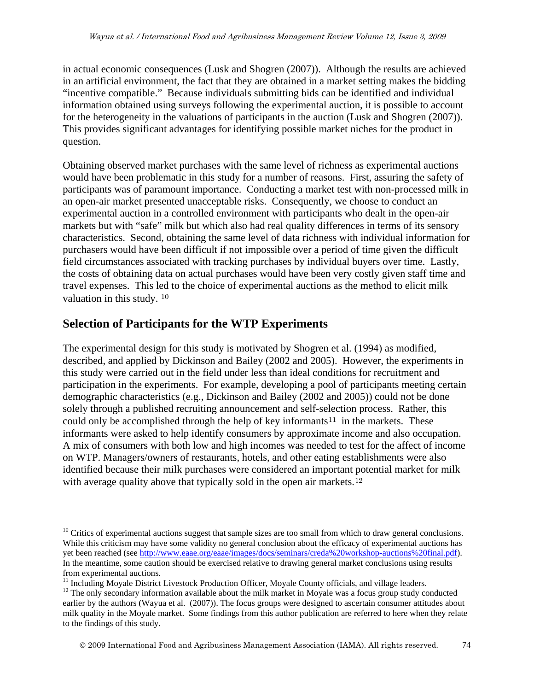in actual economic consequences (Lusk and Shogren (2007)). Although the results are achieved in an artificial environment, the fact that they are obtained in a market setting makes the bidding "incentive compatible." Because individuals submitting bids can be identified and individual information obtained using surveys following the experimental auction, it is possible to account for the heterogeneity in the valuations of participants in the auction (Lusk and Shogren (2007)). This provides significant advantages for identifying possible market niches for the product in question.

Obtaining observed market purchases with the same level of richness as experimental auctions would have been problematic in this study for a number of reasons. First, assuring the safety of participants was of paramount importance. Conducting a market test with non-processed milk in an open-air market presented unacceptable risks. Consequently, we choose to conduct an experimental auction in a controlled environment with participants who dealt in the open-air markets but with "safe" milk but which also had real quality differences in terms of its sensory characteristics. Second, obtaining the same level of data richness with individual information for purchasers would have been difficult if not impossible over a period of time given the difficult field circumstances associated with tracking purchases by individual buyers over time. Lastly, the costs of obtaining data on actual purchases would have been very costly given staff time and travel expenses. This led to the choice of experimental auctions as the method to elicit milk valuation in this study. [10](#page-5-0)

# **Selection of Participants for the WTP Experiments**

The experimental design for this study is motivated by Shogren et al. (1994) as modified, described, and applied by Dickinson and Bailey (2002 and 2005). However, the experiments in this study were carried out in the field under less than ideal conditions for recruitment and participation in the experiments. For example, developing a pool of participants meeting certain demographic characteristics (e.g., Dickinson and Bailey (2002 and 2005)) could not be done solely through a published recruiting announcement and self-selection process. Rather, this could only be accomplished through the help of key informants<sup>[11](#page-5-1)</sup> in the markets. These informants were asked to help identify consumers by approximate income and also occupation. A mix of consumers with both low and high incomes was needed to test for the affect of income on WTP. Managers/owners of restaurants, hotels, and other eating establishments were also identified because their milk purchases were considered an important potential market for milk with average quality above that typically sold in the open air markets.<sup>[12](#page-5-2)</sup>

<span id="page-5-0"></span> $\overline{a}$ <sup>10</sup> Critics of experimental auctions suggest that sample sizes are too small from which to draw general conclusions. While this criticism may have some validity no general conclusion about the efficacy of experimental auctions has yet been reached (see [http://www.eaae.org/eaae/images/docs/seminars/creda%20workshop-auctions%20final.pdf\)](http://www.eaae.org/eaae/images/docs/seminars/creda%20workshop-auctions%20final.pdf). In the meantime, some caution should be exercised relative to drawing general market conclusions using results from experimental auctions.<br><sup>11</sup> Including Moyale District Livestock Production Officer, Moyale County officials, and village leaders.

<span id="page-5-2"></span><span id="page-5-1"></span> $12$  The only secondary information available about the milk market in Moyale was a focus group study conducted earlier by the authors (Wayua et al. (2007)). The focus groups were designed to ascertain consumer attitudes about milk quality in the Moyale market. Some findings from this author publication are referred to here when they relate to the findings of this study.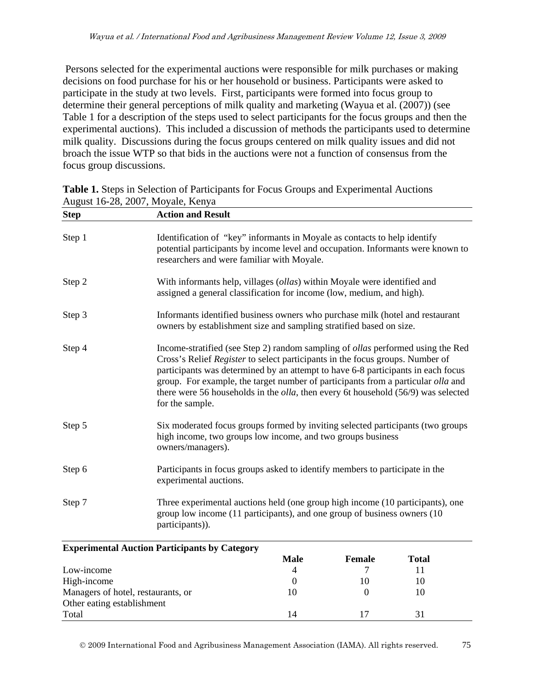Persons selected for the experimental auctions were responsible for milk purchases or making decisions on food purchase for his or her household or business. Participants were asked to participate in the study at two levels. First, participants were formed into focus group to determine their general perceptions of milk quality and marketing (Wayua et al. (2007)) (see Table 1 for a description of the steps used to select participants for the focus groups and then the experimental auctions). This included a discussion of methods the participants used to determine milk quality. Discussions during the focus groups centered on milk quality issues and did not broach the issue WTP so that bids in the auctions were not a function of consensus from the focus group discussions.

| <b>Step</b> | <b>Action and Result</b>                                                                                                                                                                                                                                                                                                                                                                                                                                        |
|-------------|-----------------------------------------------------------------------------------------------------------------------------------------------------------------------------------------------------------------------------------------------------------------------------------------------------------------------------------------------------------------------------------------------------------------------------------------------------------------|
| Step 1      | Identification of "key" informants in Moyale as contacts to help identify<br>potential participants by income level and occupation. Informants were known to<br>researchers and were familiar with Moyale.                                                                                                                                                                                                                                                      |
| Step 2      | With informants help, villages ( <i>ollas</i> ) within Moyale were identified and<br>assigned a general classification for income (low, medium, and high).                                                                                                                                                                                                                                                                                                      |
| Step 3      | Informants identified business owners who purchase milk (hotel and restaurant<br>owners by establishment size and sampling stratified based on size.                                                                                                                                                                                                                                                                                                            |
| Step 4      | Income-stratified (see Step 2) random sampling of <i>ollas</i> performed using the Red<br>Cross's Relief Register to select participants in the focus groups. Number of<br>participants was determined by an attempt to have 6-8 participants in each focus<br>group. For example, the target number of participants from a particular olla and<br>there were 56 households in the <i>olla</i> , then every 6t household (56/9) was selected<br>for the sample. |
| Step 5      | Six moderated focus groups formed by inviting selected participants (two groups<br>high income, two groups low income, and two groups business<br>owners/managers).                                                                                                                                                                                                                                                                                             |
| Step 6      | Participants in focus groups asked to identify members to participate in the<br>experimental auctions.                                                                                                                                                                                                                                                                                                                                                          |
| Step 7      | Three experimental auctions held (one group high income (10 participants), one<br>group low income (11 participants), and one group of business owners (10<br>participants)).                                                                                                                                                                                                                                                                                   |

**Table 1.** Steps in Selection of Participants for Focus Groups and Experimental Auctions August  $16-28$ , 2007, Moyale, Kenya

| <b>Experimental Auction Participants by Category</b> |          |               |       |  |  |
|------------------------------------------------------|----------|---------------|-------|--|--|
|                                                      | Male     | <b>Female</b> | Total |  |  |
| Low-income                                           | $\Delta$ |               |       |  |  |
| High-income                                          |          | 10            | 10    |  |  |
| Managers of hotel, restaurants, or                   | 10       |               | 10    |  |  |
| Other eating establishment                           |          |               |       |  |  |
| Total                                                | 14       |               |       |  |  |

2009 International Food and Agribusiness Management Association (IAMA). All rights reserved. 75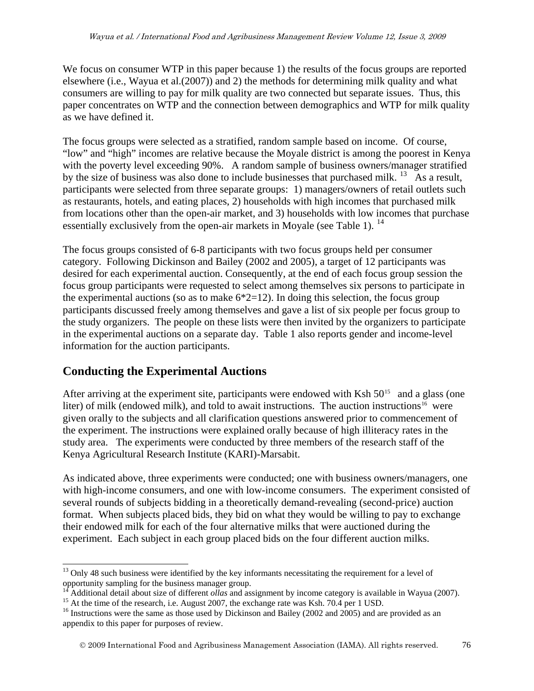We focus on consumer WTP in this paper because 1) the results of the focus groups are reported elsewhere (i.e., Wayua et al.(2007)) and 2) the methods for determining milk quality and what consumers are willing to pay for milk quality are two connected but separate issues. Thus, this paper concentrates on WTP and the connection between demographics and WTP for milk quality as we have defined it.

The focus groups were selected as a stratified, random sample based on income. Of course, "low" and "high" incomes are relative because the Moyale district is among the poorest in Kenya with the poverty level exceeding 90%. A random sample of business owners/manager stratified by the size of business was also done to include businesses that purchased milk. <sup>[13](#page-7-0)</sup> As a result, participants were selected from three separate groups: 1) managers/owners of retail outlets such as restaurants, hotels, and eating places, 2) households with high incomes that purchased milk from locations other than the open-air market, and 3) households with low incomes that purchase essentially exclusively from the open-air markets in Moyale (see Table 1).  $^{14}$  $^{14}$  $^{14}$ 

The focus groups consisted of 6-8 participants with two focus groups held per consumer category. Following Dickinson and Bailey (2002 and 2005), a target of 12 participants was desired for each experimental auction. Consequently, at the end of each focus group session the focus group participants were requested to select among themselves six persons to participate in the experimental auctions (so as to make  $6*2=12$ ). In doing this selection, the focus group participants discussed freely among themselves and gave a list of six people per focus group to the study organizers. The people on these lists were then invited by the organizers to participate in the experimental auctions on a separate day. Table 1 also reports gender and income-level information for the auction participants.

# **Conducting the Experimental Auctions**

After arriving at the experiment site, participants were endowed with Ksh  $50^{15}$  $50^{15}$  $50^{15}$  and a glass (one liter) of milk (endowed milk), and told to await instructions. The auction instructions<sup>[16](#page-7-3)</sup> were given orally to the subjects and all clarification questions answered prior to commencement of the experiment. The instructions were explained orally because of high illiteracy rates in the study area. The experiments were conducted by three members of the research staff of the Kenya Agricultural Research Institute (KARI)-Marsabit.

As indicated above, three experiments were conducted; one with business owners/managers, one with high-income consumers, and one with low-income consumers. The experiment consisted of several rounds of subjects bidding in a theoretically demand-revealing (second-price) auction format. When subjects placed bids, they bid on what they would be willing to pay to exchange their endowed milk for each of the four alternative milks that were auctioned during the experiment. Each subject in each group placed bids on the four different auction milks.

<span id="page-7-0"></span> $\overline{a}$ <sup>13</sup> Only 48 such business were identified by the key informants necessitating the requirement for a level of opportunity sampling for the business manager group.<br><sup>14</sup> Additional detail about size of different *ollas* and assignment by income category is available in Wayua (2007).

<span id="page-7-3"></span><span id="page-7-2"></span><span id="page-7-1"></span><sup>&</sup>lt;sup>15</sup> At the time of the research, i.e. August 2007, the exchange rate was Ksh. 70.4 per 1 USD.<br><sup>16</sup> Instructions were the same as those used by Dickinson and Bailey (2002 and 2005) and are provided as an appendix to this paper for purposes of review.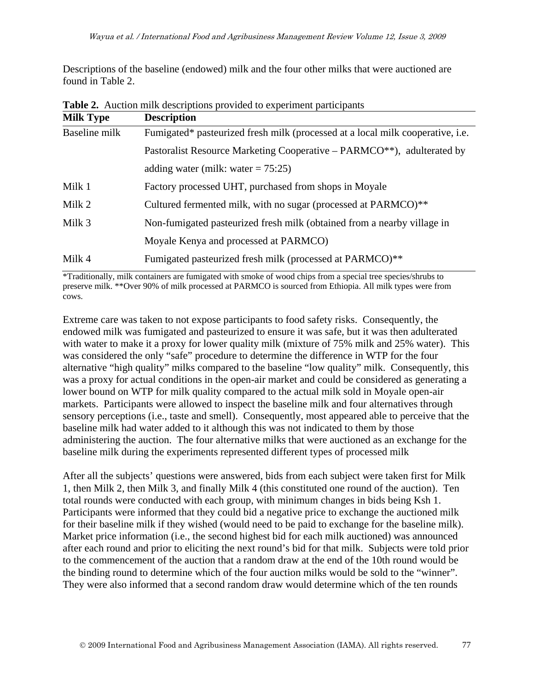Descriptions of the baseline (endowed) milk and the four other milks that were auctioned are found in Table 2.

| <b>Milk Type</b> | <b>Description</b>                                                                  |
|------------------|-------------------------------------------------------------------------------------|
| Baseline milk    | Fumigated* pasteurized fresh milk (processed at a local milk cooperative, i.e.      |
|                  | Pastoralist Resource Marketing Cooperative – PARMCO <sup>**</sup> ), adulterated by |
|                  | adding water (milk: water $= 75:25$ )                                               |
| Milk 1           | Factory processed UHT, purchased from shops in Moyale                               |
| Milk 2           | Cultured fermented milk, with no sugar (processed at PARMCO)**                      |
| Milk 3           | Non-fumigated pasteurized fresh milk (obtained from a nearby village in             |
|                  | Moyale Kenya and processed at PARMCO)                                               |
| Milk 4           | Fumigated pasteurized fresh milk (processed at PARMCO)**                            |

**Table 2.** Auction milk descriptions provided to experiment participants

\*Traditionally, milk containers are fumigated with smoke of wood chips from a special tree species/shrubs to preserve milk. \*\*Over 90% of milk processed at PARMCO is sourced from Ethiopia. All milk types were from cows.

Extreme care was taken to not expose participants to food safety risks. Consequently, the endowed milk was fumigated and pasteurized to ensure it was safe, but it was then adulterated with water to make it a proxy for lower quality milk (mixture of 75% milk and 25% water). This was considered the only "safe" procedure to determine the difference in WTP for the four alternative "high quality" milks compared to the baseline "low quality" milk. Consequently, this was a proxy for actual conditions in the open-air market and could be considered as generating a lower bound on WTP for milk quality compared to the actual milk sold in Moyale open-air markets. Participants were allowed to inspect the baseline milk and four alternatives through sensory perceptions (i.e., taste and smell). Consequently, most appeared able to perceive that the baseline milk had water added to it although this was not indicated to them by those administering the auction. The four alternative milks that were auctioned as an exchange for the baseline milk during the experiments represented different types of processed milk

After all the subjects' questions were answered, bids from each subject were taken first for Milk 1, then Milk 2, then Milk 3, and finally Milk 4 (this constituted one round of the auction). Ten total rounds were conducted with each group, with minimum changes in bids being Ksh 1. Participants were informed that they could bid a negative price to exchange the auctioned milk for their baseline milk if they wished (would need to be paid to exchange for the baseline milk). Market price information (i.e., the second highest bid for each milk auctioned) was announced after each round and prior to eliciting the next round's bid for that milk. Subjects were told prior to the commencement of the auction that a random draw at the end of the 10th round would be the binding round to determine which of the four auction milks would be sold to the "winner". They were also informed that a second random draw would determine which of the ten rounds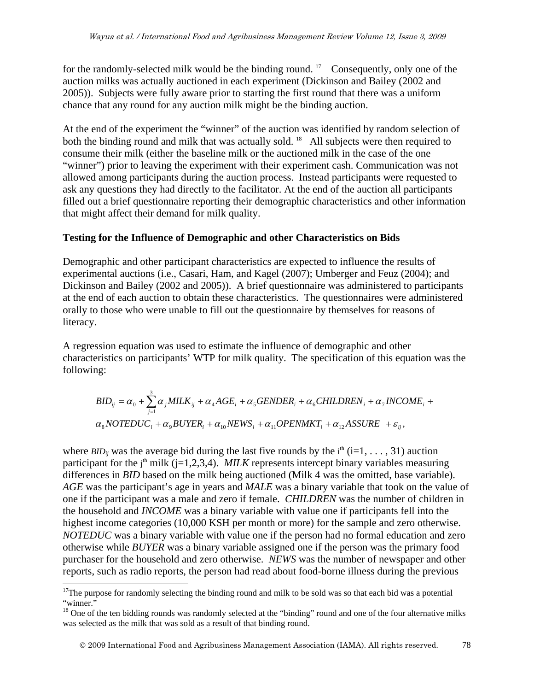for the randomly-selected milk would be the binding round.<sup>[17](#page-9-0)</sup> Consequently, only one of the auction milks was actually auctioned in each experiment (Dickinson and Bailey (2002 and 2005)). Subjects were fully aware prior to starting the first round that there was a uniform chance that any round for any auction milk might be the binding auction.

At the end of the experiment the "winner" of the auction was identified by random selection of both the binding round and milk that was actually sold.<sup>[18](#page-9-1)</sup> All subjects were then required to consume their milk (either the baseline milk or the auctioned milk in the case of the one "winner") prior to leaving the experiment with their experiment cash. Communication was not allowed among participants during the auction process. Instead participants were requested to ask any questions they had directly to the facilitator. At the end of the auction all participants filled out a brief questionnaire reporting their demographic characteristics and other information that might affect their demand for milk quality.

#### **Testing for the Influence of Demographic and other Characteristics on Bids**

Demographic and other participant characteristics are expected to influence the results of experimental auctions (i.e., Casari, Ham, and Kagel (2007); Umberger and Feuz (2004); and Dickinson and Bailey (2002 and 2005)). A brief questionnaire was administered to participants at the end of each auction to obtain these characteristics. The questionnaires were administered orally to those who were unable to fill out the questionnaire by themselves for reasons of literacy.

A regression equation was used to estimate the influence of demographic and other characteristics on participants' WTP for milk quality. The specification of this equation was the following:

$$
BID_{ij} = \alpha_0 + \sum_{j=1}^{3} \alpha_j MILK_{ij} + \alpha_4 AGE_i + \alpha_5 GENDER_i + \alpha_6 CHILDREN_i + \alpha_7 INCOME_i + \alpha_8 NOTEDUC_i + \alpha_9 BUYER_i + \alpha_{10} NEWS_i + \alpha_{11} OPENMKT_i + \alpha_{12} ASSURE + \varepsilon_{ij},
$$

where *BID<sub>ij</sub>* was the average bid during the last five rounds by the  $i<sup>th</sup>$  (i=1, ..., 31) auction participant for the  $j<sup>th</sup>$  milk ( $j=1,2,3,4$ ). *MILK* represents intercept binary variables measuring differences in *BID* based on the milk being auctioned (Milk 4 was the omitted, base variable). *AGE* was the participant's age in years and *MALE* was a binary variable that took on the value of one if the participant was a male and zero if female. *CHILDREN* was the number of children in the household and *INCOME* was a binary variable with value one if participants fell into the highest income categories (10,000 KSH per month or more) for the sample and zero otherwise. *NOTEDUC* was a binary variable with value one if the person had no formal education and zero otherwise while *BUYER* was a binary variable assigned one if the person was the primary food purchaser for the household and zero otherwise. *NEWS* was the number of newspaper and other reports, such as radio reports, the person had read about food-borne illness during the previous

 $\overline{a}$ 

<span id="page-9-0"></span><sup>&</sup>lt;sup>17</sup>The purpose for randomly selecting the binding round and milk to be sold was so that each bid was a potential "winner."

<span id="page-9-1"></span><sup>&</sup>lt;sup>18</sup> One of the ten bidding rounds was randomly selected at the "binding" round and one of the four alternative milks was selected as the milk that was sold as a result of that binding round.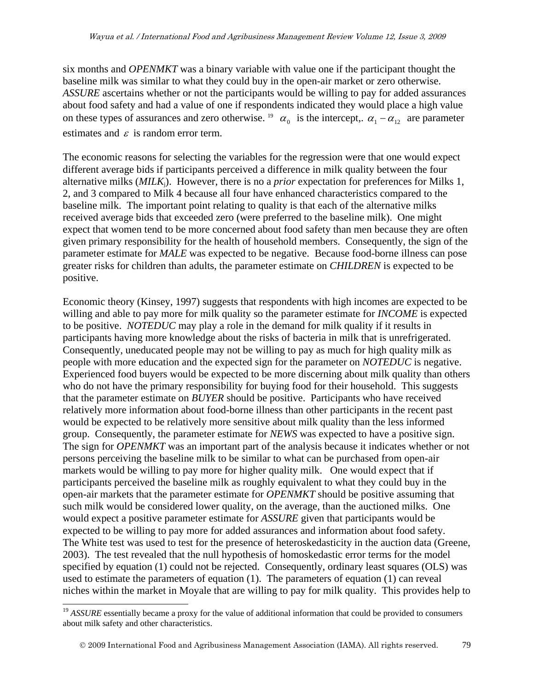six months and *OPENMKT* was a binary variable with value one if the participant thought the baseline milk was similar to what they could buy in the open-air market or zero otherwise. *ASSURE* ascertains whether or not the participants would be willing to pay for added assurances about food safety and had a value of one if respondents indicated they would place a high value on these types of assurances and zero otherwise. <sup>[19](#page-10-0)</sup>  $\alpha_0$  is the intercept,.  $\alpha_1 - \alpha_{12}$  are parameter estimates and  $\varepsilon$  is random error term.

The economic reasons for selecting the variables for the regression were that one would expect different average bids if participants perceived a difference in milk quality between the four alternative milks (*MILK*j). However, there is no a *prior* expectation for preferences for Milks 1, 2, and 3 compared to Milk 4 because all four have enhanced characteristics compared to the baseline milk. The important point relating to quality is that each of the alternative milks received average bids that exceeded zero (were preferred to the baseline milk). One might expect that women tend to be more concerned about food safety than men because they are often given primary responsibility for the health of household members. Consequently, the sign of the parameter estimate for *MALE* was expected to be negative. Because food-borne illness can pose greater risks for children than adults, the parameter estimate on *CHILDREN* is expected to be positive.

Economic theory (Kinsey, 1997) suggests that respondents with high incomes are expected to be willing and able to pay more for milk quality so the parameter estimate for *INCOME* is expected to be positive. *NOTEDUC* may play a role in the demand for milk quality if it results in participants having more knowledge about the risks of bacteria in milk that is unrefrigerated. Consequently, uneducated people may not be willing to pay as much for high quality milk as people with more education and the expected sign for the parameter on *NOTEDUC* is negative. Experienced food buyers would be expected to be more discerning about milk quality than others who do not have the primary responsibility for buying food for their household. This suggests that the parameter estimate on *BUYER* should be positive. Participants who have received relatively more information about food-borne illness than other participants in the recent past would be expected to be relatively more sensitive about milk quality than the less informed group. Consequently, the parameter estimate for *NEWS* was expected to have a positive sign. The sign for *OPENMKT* was an important part of the analysis because it indicates whether or not persons perceiving the baseline milk to be similar to what can be purchased from open-air markets would be willing to pay more for higher quality milk. One would expect that if participants perceived the baseline milk as roughly equivalent to what they could buy in the open-air markets that the parameter estimate for *OPENMKT* should be positive assuming that such milk would be considered lower quality, on the average, than the auctioned milks. One would expect a positive parameter estimate for *ASSURE* given that participants would be expected to be willing to pay more for added assurances and information about food safety. The White test was used to test for the presence of heteroskedasticity in the auction data (Greene, 2003). The test revealed that the null hypothesis of homoskedastic error terms for the model specified by equation (1) could not be rejected. Consequently, ordinary least squares (OLS) was used to estimate the parameters of equation (1). The parameters of equation (1) can reveal niches within the market in Moyale that are willing to pay for milk quality. This provides help to

 $\overline{a}$ 

<span id="page-10-0"></span><sup>&</sup>lt;sup>19</sup> ASSURE essentially became a proxy for the value of additional information that could be provided to consumers about milk safety and other characteristics.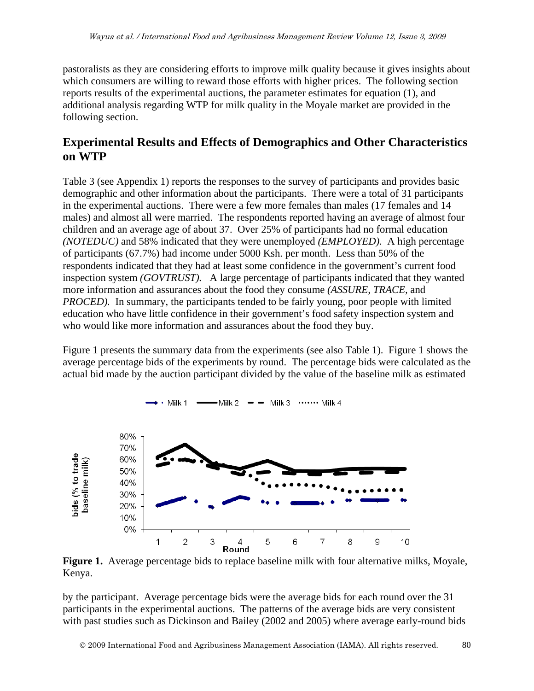pastoralists as they are considering efforts to improve milk quality because it gives insights about which consumers are willing to reward those efforts with higher prices. The following section reports results of the experimental auctions, the parameter estimates for equation (1), and additional analysis regarding WTP for milk quality in the Moyale market are provided in the following section.

# **Experimental Results and Effects of Demographics and Other Characteristics on WTP**

Table 3 (see Appendix 1) reports the responses to the survey of participants and provides basic demographic and other information about the participants. There were a total of 31 participants in the experimental auctions. There were a few more females than males (17 females and 14 males) and almost all were married. The respondents reported having an average of almost four children and an average age of about 37. Over 25% of participants had no formal education *(NOTEDUC)* and 58% indicated that they were unemployed *(EMPLOYED).* A high percentage of participants (67.7%) had income under 5000 Ksh. per month. Less than 50% of the respondents indicated that they had at least some confidence in the government's current food inspection system *(GOVTRUST).* A large percentage of participants indicated that they wanted more information and assurances about the food they consume *(ASSURE, TRACE,* and *PROCED*). In summary, the participants tended to be fairly young, poor people with limited education who have little confidence in their government's food safety inspection system and who would like more information and assurances about the food they buy.

Figure 1 presents the summary data from the experiments (see also Table 1). Figure 1 shows the average percentage bids of the experiments by round. The percentage bids were calculated as the actual bid made by the auction participant divided by the value of the baseline milk as estimated

— Milk 2 — — Milk 3 …… Milk 4



 $\cdot$  Milk 1  $-$ 

**Figure 1.** Average percentage bids to replace baseline milk with four alternative milks, Moyale, Kenya.

by the participant. Average percentage bids were the average bids for each round over the 31 participants in the experimental auctions. The patterns of the average bids are very consistent with past studies such as Dickinson and Bailey (2002 and 2005) where average early-round bids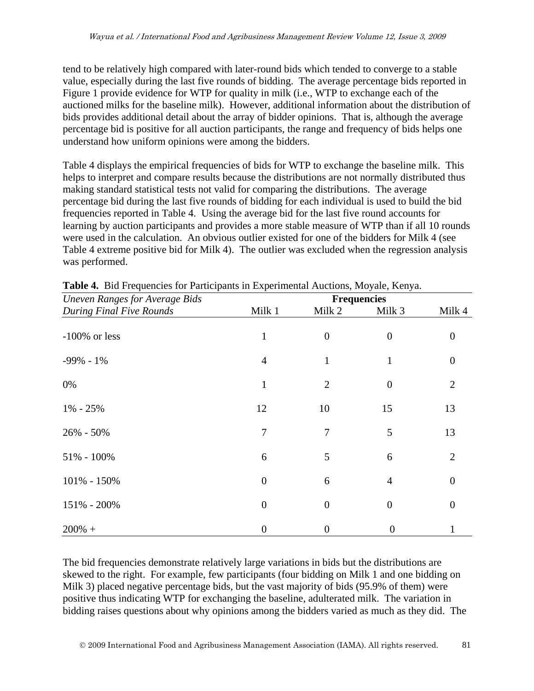tend to be relatively high compared with later-round bids which tended to converge to a stable value, especially during the last five rounds of bidding. The average percentage bids reported in Figure 1 provide evidence for WTP for quality in milk (i.e., WTP to exchange each of the auctioned milks for the baseline milk). However, additional information about the distribution of bids provides additional detail about the array of bidder opinions. That is, although the average percentage bid is positive for all auction participants, the range and frequency of bids helps one understand how uniform opinions were among the bidders.

Table 4 displays the empirical frequencies of bids for WTP to exchange the baseline milk. This helps to interpret and compare results because the distributions are not normally distributed thus making standard statistical tests not valid for comparing the distributions. The average percentage bid during the last five rounds of bidding for each individual is used to build the bid frequencies reported in Table 4. Using the average bid for the last five round accounts for learning by auction participants and provides a more stable measure of WTP than if all 10 rounds were used in the calculation. An obvious outlier existed for one of the bidders for Milk 4 (see Table 4 extreme positive bid for Milk 4). The outlier was excluded when the regression analysis was performed.

| <b>Uneven Ranges for Average Bids</b> |                  |                |                              |                |
|---------------------------------------|------------------|----------------|------------------------------|----------------|
| During Final Five Rounds              | Milk 1           | Milk 2         | <b>Frequencies</b><br>Milk 3 | Milk 4         |
| $-100\%$ or less                      | $\mathbf{1}$     | $\overline{0}$ | $\overline{0}$               | $\theta$       |
| $-99\% - 1\%$                         | $\overline{4}$   | 1              | 1                            | $\overline{0}$ |
| 0%                                    | $\mathbf{1}$     | $\overline{2}$ | $\theta$                     | 2              |
| $1\% - 25\%$                          | 12               | 10             | 15                           | 13             |
| 26% - 50%                             | 7                | 7              | 5                            | 13             |
| 51% - 100%                            | 6                | 5              | 6                            | 2              |
| 101% - 150%                           | $\overline{0}$   | 6              | $\overline{4}$               | $\overline{0}$ |
| 151% - 200%                           | $\mathbf{0}$     | $\overline{0}$ | $\overline{0}$               | $\theta$       |
| $200\% +$                             | $\boldsymbol{0}$ | 0              | $\boldsymbol{0}$             |                |

**Table 4.** Bid Frequencies for Participants in Experimental Auctions, Moyale, Kenya.

The bid frequencies demonstrate relatively large variations in bids but the distributions are skewed to the right. For example, few participants (four bidding on Milk 1 and one bidding on Milk 3) placed negative percentage bids, but the vast majority of bids (95.9% of them) were positive thus indicating WTP for exchanging the baseline, adulterated milk. The variation in bidding raises questions about why opinions among the bidders varied as much as they did. The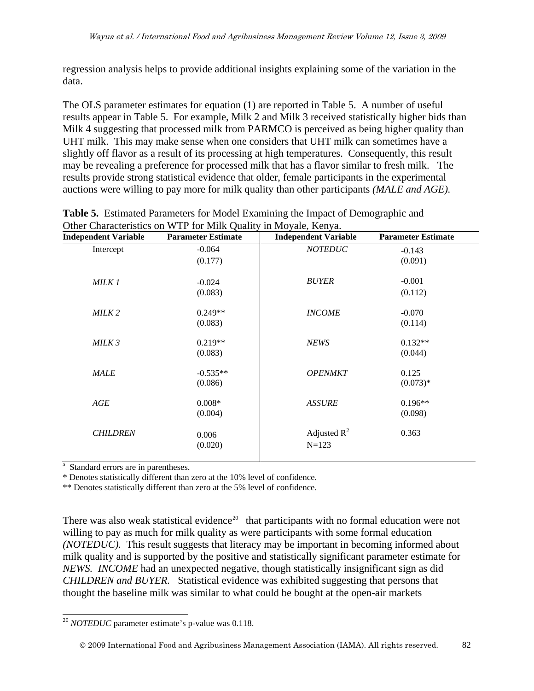regression analysis helps to provide additional insights explaining some of the variation in the data.

The OLS parameter estimates for equation (1) are reported in Table 5. A number of useful results appear in Table 5. For example, Milk 2 and Milk 3 received statistically higher bids than Milk 4 suggesting that processed milk from PARMCO is perceived as being higher quality than UHT milk. This may make sense when one considers that UHT milk can sometimes have a slightly off flavor as a result of its processing at high temperatures. Consequently, this result may be revealing a preference for processed milk that has a flavor similar to fresh milk. The results provide strong statistical evidence that older, female participants in the experimental auctions were willing to pay more for milk quality than other participants *(MALE and AGE).*

| <b>Independent Variable</b> | <b>Parameter Estimate</b> | <b>Independent Variable</b> | <b>Parameter Estimate</b> |
|-----------------------------|---------------------------|-----------------------------|---------------------------|
| Intercept                   | $-0.064$                  | <b>NOTEDUC</b>              | $-0.143$                  |
|                             | (0.177)                   |                             | (0.091)                   |
| MILK 1                      | $-0.024$                  | <b>BUYER</b>                | $-0.001$                  |
|                             | (0.083)                   |                             | (0.112)                   |
| MILK <sub>2</sub>           | $0.249**$                 | <b>INCOME</b>               | $-0.070$                  |
|                             | (0.083)                   |                             | (0.114)                   |
| MILK 3                      | $0.219**$                 | <b>NEWS</b>                 | $0.132**$                 |
|                             | (0.083)                   |                             | (0.044)                   |
| <b>MALE</b>                 | $-0.535**$                | <b>OPENMKT</b>              | 0.125                     |
|                             | (0.086)                   |                             | $(0.073)*$                |
| AGE                         | $0.008*$                  | <b>ASSURE</b>               | $0.196**$                 |
|                             | (0.004)                   |                             | (0.098)                   |
| <b>CHILDREN</b>             | 0.006                     | Adjusted $R^2$              | 0.363                     |
|                             | (0.020)                   | $N = 123$                   |                           |
|                             |                           |                             |                           |

| <b>Table 5.</b> Estimated Parameters for Model Examining the Impact of Demographic and |  |  |  |
|----------------------------------------------------------------------------------------|--|--|--|
| Other Characteristics on WTP for Milk Quality in Moyale, Kenya.                        |  |  |  |

<sup>a</sup> Standard errors are in parentheses.

\* Denotes statistically different than zero at the 10% level of confidence.

\*\* Denotes statistically different than zero at the 5% level of confidence.

There was also weak statistical evidence<sup>[20](#page-13-0)</sup> that participants with no formal education were not willing to pay as much for milk quality as were participants with some formal education *(NOTEDUC).* This result suggests that literacy may be important in becoming informed about milk quality and is supported by the positive and statistically significant parameter estimate for *NEWS. INCOME* had an unexpected negative, though statistically insignificant sign as did *CHILDREN and BUYER.* Statistical evidence was exhibited suggesting that persons that thought the baseline milk was similar to what could be bought at the open-air markets

<span id="page-13-0"></span> $\overline{a}$ <sup>20</sup> *NOTEDUC* parameter estimate's p-value was 0.118.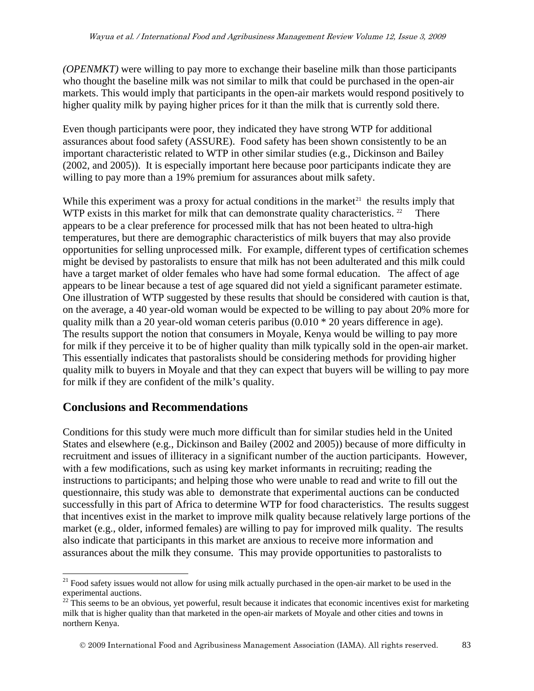*(OPENMKT)* were willing to pay more to exchange their baseline milk than those participants who thought the baseline milk was not similar to milk that could be purchased in the open-air markets. This would imply that participants in the open-air markets would respond positively to higher quality milk by paying higher prices for it than the milk that is currently sold there.

Even though participants were poor, they indicated they have strong WTP for additional assurances about food safety (ASSURE). Food safety has been shown consistently to be an important characteristic related to WTP in other similar studies (e.g., Dickinson and Bailey (2002, and 2005)). It is especially important here because poor participants indicate they are willing to pay more than a 19% premium for assurances about milk safety.

While this experiment was a proxy for actual conditions in the market<sup>21</sup> the results imply that WTP exists in this market for milk that can demonstrate quality characteristics. <sup>[22](#page-14-1)</sup> There appears to be a clear preference for processed milk that has not been heated to ultra-high temperatures, but there are demographic characteristics of milk buyers that may also provide opportunities for selling unprocessed milk. For example, different types of certification schemes might be devised by pastoralists to ensure that milk has not been adulterated and this milk could have a target market of older females who have had some formal education. The affect of age appears to be linear because a test of age squared did not yield a significant parameter estimate. One illustration of WTP suggested by these results that should be considered with caution is that, on the average, a 40 year-old woman would be expected to be willing to pay about 20% more for quality milk than a 20 year-old woman ceteris paribus (0.010 \* 20 years difference in age). The results support the notion that consumers in Moyale, Kenya would be willing to pay more for milk if they perceive it to be of higher quality than milk typically sold in the open-air market. This essentially indicates that pastoralists should be considering methods for providing higher quality milk to buyers in Moyale and that they can expect that buyers will be willing to pay more for milk if they are confident of the milk's quality.

# **Conclusions and Recommendations**

Conditions for this study were much more difficult than for similar studies held in the United States and elsewhere (e.g., Dickinson and Bailey (2002 and 2005)) because of more difficulty in recruitment and issues of illiteracy in a significant number of the auction participants. However, with a few modifications, such as using key market informants in recruiting; reading the instructions to participants; and helping those who were unable to read and write to fill out the questionnaire, this study was able to demonstrate that experimental auctions can be conducted successfully in this part of Africa to determine WTP for food characteristics. The results suggest that incentives exist in the market to improve milk quality because relatively large portions of the market (e.g., older, informed females) are willing to pay for improved milk quality. The results also indicate that participants in this market are anxious to receive more information and assurances about the milk they consume. This may provide opportunities to pastoralists to

<span id="page-14-0"></span> $\overline{a}$ <sup>21</sup> Food safety issues would not allow for using milk actually purchased in the open-air market to be used in the experimental auctions.

<span id="page-14-1"></span> $22$  This seems to be an obvious, yet powerful, result because it indicates that economic incentives exist for marketing milk that is higher quality than that marketed in the open-air markets of Moyale and other cities and towns in northern Kenya.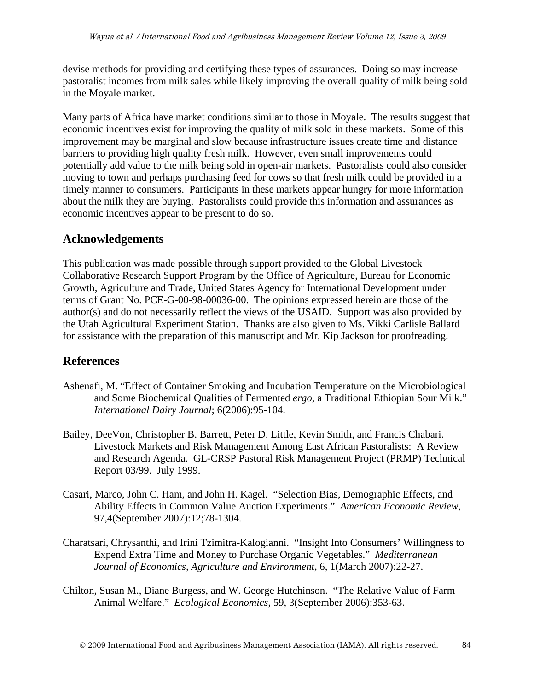devise methods for providing and certifying these types of assurances. Doing so may increase pastoralist incomes from milk sales while likely improving the overall quality of milk being sold in the Moyale market.

Many parts of Africa have market conditions similar to those in Moyale. The results suggest that economic incentives exist for improving the quality of milk sold in these markets. Some of this improvement may be marginal and slow because infrastructure issues create time and distance barriers to providing high quality fresh milk. However, even small improvements could potentially add value to the milk being sold in open-air markets. Pastoralists could also consider moving to town and perhaps purchasing feed for cows so that fresh milk could be provided in a timely manner to consumers. Participants in these markets appear hungry for more information about the milk they are buying. Pastoralists could provide this information and assurances as economic incentives appear to be present to do so.

### **Acknowledgements**

This publication was made possible through support provided to the Global Livestock Collaborative Research Support Program by the Office of Agriculture, Bureau for Economic Growth, Agriculture and Trade, United States Agency for International Development under terms of Grant No. PCE-G-00-98-00036-00. The opinions expressed herein are those of the author(s) and do not necessarily reflect the views of the USAID. Support was also provided by the Utah Agricultural Experiment Station. Thanks are also given to Ms. Vikki Carlisle Ballard for assistance with the preparation of this manuscript and Mr. Kip Jackson for proofreading.

### **References**

- Ashenafi, M. "Effect of Container Smoking and Incubation Temperature on the Microbiological and Some Biochemical Qualities of Fermented *ergo*, a Traditional Ethiopian Sour Milk." *International Dairy Journal*; 6(2006):95-104.
- Bailey, DeeVon, Christopher B. Barrett, Peter D. Little, Kevin Smith, and Francis Chabari. Livestock Markets and Risk Management Among East African Pastoralists: A Review and Research Agenda. GL-CRSP Pastoral Risk Management Project (PRMP) Technical Report 03/99. July 1999.
- Casari, Marco, John C. Ham, and John H. Kagel. "Selection Bias, Demographic Effects, and Ability Effects in Common Value Auction Experiments." *American Economic Review*, 97,4(September 2007):12;78-1304.
- Charatsari, Chrysanthi, and Irini Tzimitra-Kalogianni. "Insight Into Consumers' Willingness to Expend Extra Time and Money to Purchase Organic Vegetables." *Mediterranean Journal of Economics, Agriculture and Environment*, 6, 1(March 2007):22-27.
- Chilton, Susan M., Diane Burgess, and W. George Hutchinson. "The Relative Value of Farm Animal Welfare." *Ecological Economics*, 59, 3(September 2006):353-63.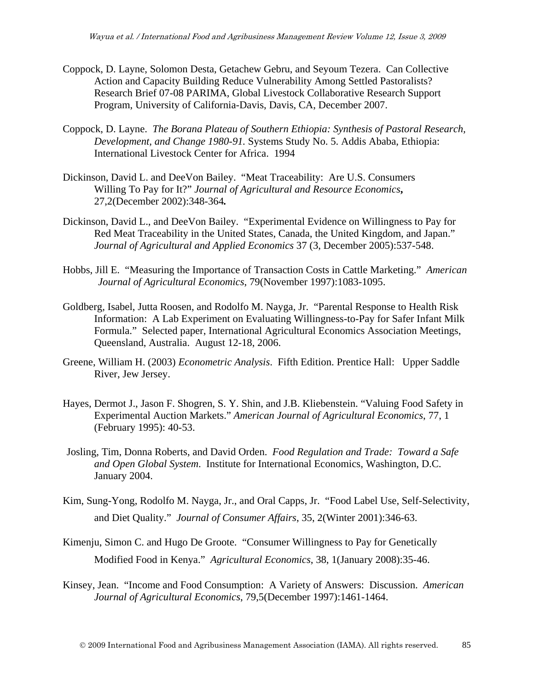- Coppock, D. Layne, Solomon Desta, Getachew Gebru, and Seyoum Tezera. Can Collective Action and Capacity Building Reduce Vulnerability Among Settled Pastoralists? Research Brief 07-08 PARIMA, Global Livestock Collaborative Research Support Program, University of California-Davis, Davis, CA, December 2007.
- Coppock, D. Layne. *The Borana Plateau of Southern Ethiopia: Synthesis of Pastoral Research, Development, and Change 1980-91.* Systems Study No. 5. Addis Ababa, Ethiopia: International Livestock Center for Africa. 1994
- Dickinson, David L. and DeeVon Bailey. "Meat Traceability: Are U.S. Consumers Willing To Pay for It?" *Journal of Agricultural and Resource Economics***,**  27,2(December 2002):348-364*.*
- Dickinson, David L., and DeeVon Bailey. "Experimental Evidence on Willingness to Pay for Red Meat Traceability in the United States, Canada, the United Kingdom, and Japan." *Journal of Agricultural and Applied Economics* 37 (3, December 2005):537-548.
- Hobbs, Jill E. "Measuring the Importance of Transaction Costs in Cattle Marketing." *American Journal of Agricultural Economics*, 79(November 1997):1083-1095.
- Goldberg, Isabel, Jutta Roosen, and Rodolfo M. Nayga, Jr. "Parental Response to Health Risk Information: A Lab Experiment on Evaluating Willingness-to-Pay for Safer Infant Milk Formula." Selected paper, International Agricultural Economics Association Meetings, Queensland, Australia. August 12-18, 2006.
- Greene, William H. (2003) *Econometric Analysis*. Fifth Edition. Prentice Hall: Upper Saddle River, Jew Jersey.
- Hayes, Dermot J., Jason F. Shogren, S. Y. Shin, and J.B. Kliebenstein. "Valuing Food Safety in Experimental Auction Markets." *American Journal of Agricultural Economics*, 77, 1 (February 1995): 40-53.
- Josling, Tim, Donna Roberts, and David Orden. *Food Regulation and Trade: Toward a Safe and Open Global System*. Institute for International Economics, Washington, D.C. January 2004.
- Kim, Sung-Yong, Rodolfo M. Nayga, Jr., and Oral Capps, Jr. "Food Label Use, Self-Selectivity, and Diet Quality." *Journal of Consumer Affairs*, 35, 2(Winter 2001):346-63.
- Kimenju, Simon C. and Hugo De Groote. "Consumer Willingness to Pay for Genetically Modified Food in Kenya." *Agricultural Economics*, 38, 1(January 2008):35-46.
- Kinsey, Jean. "Income and Food Consumption: A Variety of Answers: Discussion. *American Journal of Agricultural Economics*, 79,5(December 1997):1461-1464.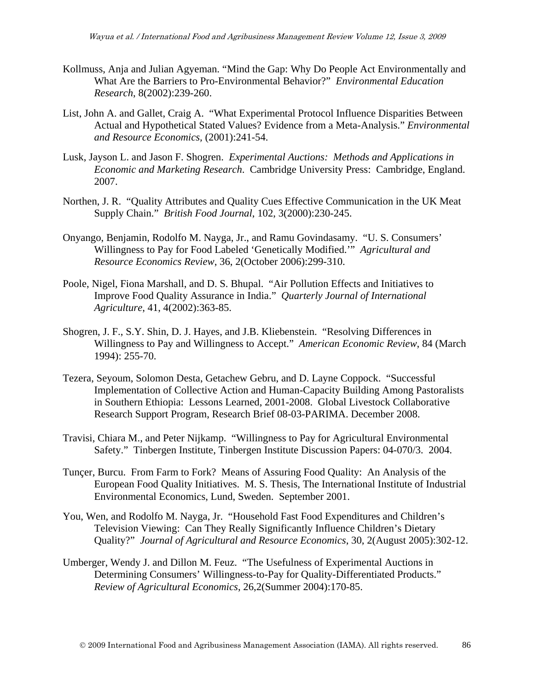- Kollmuss, Anja and Julian Agyeman. "Mind the Gap: Why Do People Act Environmentally and What Are the Barriers to Pro-Environmental Behavior?" *Environmental Education Research*, 8(2002):239-260.
- List, John A. and Gallet, Craig A. "What Experimental Protocol Influence Disparities Between Actual and Hypothetical Stated Values? Evidence from a Meta-Analysis." *Environmental and Resource Economics,* (2001):241-54.
- Lusk, Jayson L. and Jason F. Shogren. *Experimental Auctions: Methods and Applications in Economic and Marketing Research*. Cambridge University Press: Cambridge, England. 2007.
- Northen, J. R. "Quality Attributes and Quality Cues Effective Communication in the UK Meat Supply Chain." *British Food Journal*, 102, 3(2000):230-245.
- Onyango, Benjamin, Rodolfo M. Nayga, Jr., and Ramu Govindasamy. "U. S. Consumers' Willingness to Pay for Food Labeled 'Genetically Modified.'" *Agricultural and Resource Economics Review*, 36, 2(October 2006):299-310.
- Poole, Nigel, Fiona Marshall, and D. S. Bhupal. "Air Pollution Effects and Initiatives to Improve Food Quality Assurance in India." *Quarterly Journal of International Agriculture*, 41, 4(2002):363-85.
- Shogren, J. F., S.Y. Shin, D. J. Hayes, and J.B. Kliebenstein. "Resolving Differences in Willingness to Pay and Willingness to Accept." *American Economic Review*, 84 (March 1994): 255-70.
- Tezera, Seyoum, Solomon Desta, Getachew Gebru, and D. Layne Coppock. "Successful Implementation of Collective Action and Human-Capacity Building Among Pastoralists in Southern Ethiopia: Lessons Learned, 2001-2008. Global Livestock Collaborative Research Support Program, Research Brief 08-03-PARIMA. December 2008.
- Travisi, Chiara M., and Peter Nijkamp. "Willingness to Pay for Agricultural Environmental Safety." Tinbergen Institute, Tinbergen Institute Discussion Papers: 04-070/3. 2004.
- Tunçer, Burcu. From Farm to Fork? Means of Assuring Food Quality: An Analysis of the European Food Quality Initiatives. M. S. Thesis, The International Institute of Industrial Environmental Economics, Lund, Sweden. September 2001.
- You, Wen, and Rodolfo M. Nayga, Jr. "Household Fast Food Expenditures and Children's Television Viewing: Can They Really Significantly Influence Children's Dietary Quality?" *Journal of Agricultural and Resource Economics*, 30, 2(August 2005):302-12.
- Umberger, Wendy J. and Dillon M. Feuz. "The Usefulness of Experimental Auctions in Determining Consumers' Willingness-to-Pay for Quality-Differentiated Products." *Review of Agricultural Economics*, 26,2(Summer 2004):170-85.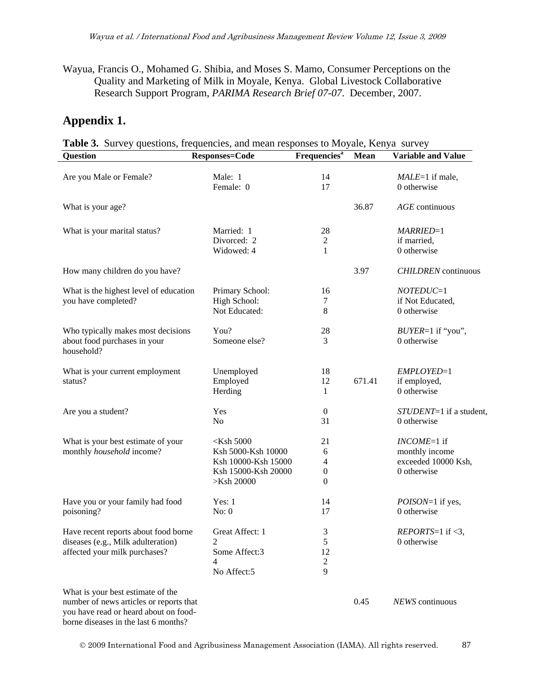Wayua, Francis O., Mohamed G. Shibia, and Moses S. Mamo, Consumer Perceptions on the Quality and Marketing of Milk in Moyale, Kenya. Global Livestock Collaborative Research Support Program, *PARIMA Research Brief 07-07*. December, 2007.

### **Appendix 1.**

**Table 3.** Survey questions, frequencies, and mean responses to Moyale, Kenya survey

| <b>Question</b>                                                                                                                                               | <b>Responses=Code</b>                                                                          | <b>Frequencies</b> <sup>a</sup>                      | <b>Mean</b> | <b>Variable and Value</b>                                             |
|---------------------------------------------------------------------------------------------------------------------------------------------------------------|------------------------------------------------------------------------------------------------|------------------------------------------------------|-------------|-----------------------------------------------------------------------|
| Are you Male or Female?                                                                                                                                       | Male: 1<br>Female: 0                                                                           | 14<br>17                                             |             | $MALE=1$ if male,<br>0 otherwise                                      |
| What is your age?                                                                                                                                             |                                                                                                |                                                      | 36.87       | $AGE$ continuous                                                      |
| What is your marital status?                                                                                                                                  | Married: 1<br>Divorced: 2<br>Widowed: 4                                                        | 28<br>2<br>1                                         |             | MARRIED=1<br>if married,<br>0 otherwise                               |
| How many children do you have?                                                                                                                                |                                                                                                |                                                      | 3.97        | <b>CHILDREN</b> continuous                                            |
| What is the highest level of education<br>you have completed?                                                                                                 | Primary School:<br>High School:<br>Not Educated:                                               | 16<br>7<br>8                                         |             | $NOTEDUC=1$<br>if Not Educated,<br>0 otherwise                        |
| Who typically makes most decisions<br>about food purchases in your<br>household?                                                                              | You?<br>Someone else?                                                                          | 28<br>3                                              |             | $BUYER=1$ if "you",<br>0 otherwise                                    |
| What is your current employment<br>status?                                                                                                                    | Unemployed<br>Employed<br>Herding                                                              | 18<br>12<br>1                                        | 671.41      | EMPLOYED=1<br>if employed,<br>0 otherwise                             |
| Are you a student?                                                                                                                                            | Yes<br>N <sub>0</sub>                                                                          | $\boldsymbol{0}$<br>31                               |             | STUDENT=1 if a student,<br>0 otherwise                                |
| What is your best estimate of your<br>monthly household income?                                                                                               | $<$ Ksh 5000<br>Ksh 5000-Ksh 10000<br>Ksh 10000-Ksh 15000<br>Ksh 15000-Ksh 20000<br>>Ksh 20000 | 21<br>6<br>4<br>$\boldsymbol{0}$<br>$\boldsymbol{0}$ |             | $INCOME=1$ if<br>monthly income<br>exceeded 10000 Ksh,<br>0 otherwise |
| Have you or your family had food<br>poisoning?                                                                                                                | Yes: 1<br>No: 0                                                                                | 14<br>17                                             |             | <i>POISON</i> =1 if yes,<br>0 otherwise                               |
| Have recent reports about food borne<br>diseases (e.g., Milk adulteration)<br>affected your milk purchases?                                                   | Great Affect: 1<br>2<br>Some Affect:3<br>4<br>No Affect:5                                      | 3<br>5<br>12<br>$\mathfrak 2$<br>9                   |             | $REPORTS=1$ if <3,<br>0 otherwise                                     |
| What is your best estimate of the<br>number of news articles or reports that<br>you have read or heard about on food-<br>borne diseases in the last 6 months? |                                                                                                |                                                      | 0.45        | NEWS continuous                                                       |